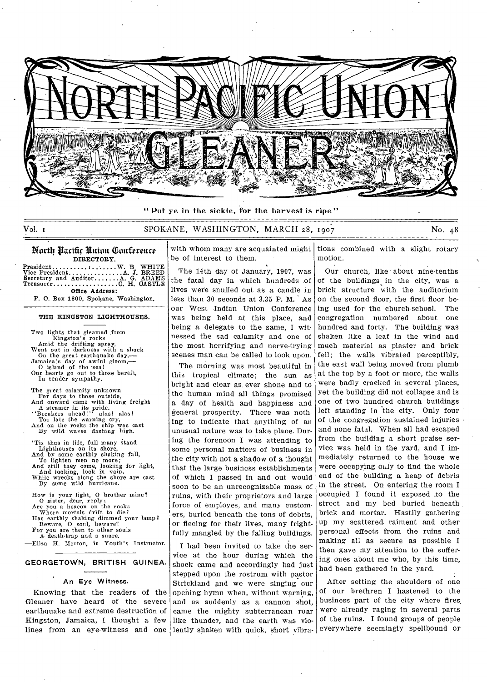

" Put ye in the sickle, for the harvest is ripe"

# Vol. I SPOKANE, WASHINGTON, MARCH 28, 1907 No. 48

### North Parifir Union Conference DIRECTORY.

President Vice President Secretary and Auditor........A. Treasurer..... W. B. WHITE<br>.A. J. BREED<br>.A. G. ADAMS<br>C. H. CASTLE Office Address:

P. 0. Box 1800, Spokane, Washington. ======

### THE KINGSTON LIGHTHOUSES.

Two lights that gleamed from Kingston's rocks Amid the drifting spray, Went out in darkness with a shock<br>
On the great earthquake day,—<br>Jamaica's day of awful gloom,—<br>
O island of the sea! Our hearts go out to those bereft, In tender sympathy. The great calamity unknown For days to those outside,<br>
And onward came with living freight<br>  $\Delta$  steamer in its pride.<br>
"Breakers ahead!" alas I alas!<br>
Too late the warning cry,<br>
And on the rocks the ship was cast<br>
By wild waves dashing high. Tis thus in life, full many stand<br>Lighthouses on its shore,<br>And by some earthly shaking fall,<br>To lighten men no more;<br>And still they come, looking for light,<br>And looking, look in vain,<br>While wrecks along the shore are cast How is your light, 0 brother mine? O sister, dear, reply; Are you a beacon on the rocks Where mortals drift to die? Has earthly shaking dimmed your lamp? Beware, 0 soul, beware! For you are then to other souls A: death-trap and a snare.

—Eliza H. Morton, in Youth's Instructor.

#### **GEORGETOWN, BRITISH GUINEA.**

#### **An** Eye Witness.

Knowing that the readers of the Gleaner have heard of the severe earthquake and extreme destruction of Kingston, Jamaica, I thought a few

with whom many are acquainted might be of interest to them.

The 14th day of January, 1907, was the fatal day in which hundreds .of lives were snuffed out as a candle in less than 30 seconds at 3.35 P.M. As our West Indian Union Conference was being held at this place, and being a delegate to the same, I witnessed the sad calamity and one of the most horrifying and nerve-trying scenes man can be called to look upon.

The morning was most beautiful in this tropical climate; the sun as bright and clear as ever shone and to the human mind all things promised a day of health and happiness and general prosperity. There was nothing to indicate that anything of an unusual nature was to take place. During the forenoon I was attending to some personal matters of business in the city with not a shadow of a thought that the large business establishments of which I passed in and out would soon to be an unrecognizable mass of ruins, with their proprietors and large force of employes, and many customers, buried beneath the tons of debris, or fleeing for their lives, many frightfully mangled by the falling buildings.

lines from an eye-witness and one lently shaken with quick, short vibra-I had been invited to take the service at the hour during which the shock came and accordingly had just stepped upon the rostrum with pastor Strickland and we were singing our opening hymn when, without warning, and as suddenly as a cannon shot, came the mighty subterranean roar like thunder, and the earth was vio-

tions combined with a slight rotary motion.

Our church, like about nine-tenths of the buildings in the city, was a brick structure with the auditorium on the second floor, the first floor being used for the church-school. The congregation numbered about one hundred and forty. The building was shaken like a leaf in the wind and much material as plaster and brick fell; the walls vibrated perceptibly, the east wall being moved from plumb at the top by a foot or more, the walls were badly cracked in several places, yet the building did not collapse and is one of two hundred church buildings left standing in the city. Only four of the congregation sustained injuries • and none fatal. When all had escaped from the building a short praise service was held in the yard, and I immediately returned to the house we were occupying only to find the whole end of the building a heap of debris in the street. On entering the room I occupied I found it exposed .to the street and my bed buried beneath brick and mortar. Hastily gathering up my scattered raiment and other personal effects from the ruins and making all as secure as possible I then gave my attention to the suffering ones about me who, by this time, had been gathered in the yard.

After setting the shoulders of one of our brethren I hastened to the business part of the city where fires, were already raging in several parts of the ruins. I found groups of people everywhere seemingly spellbound or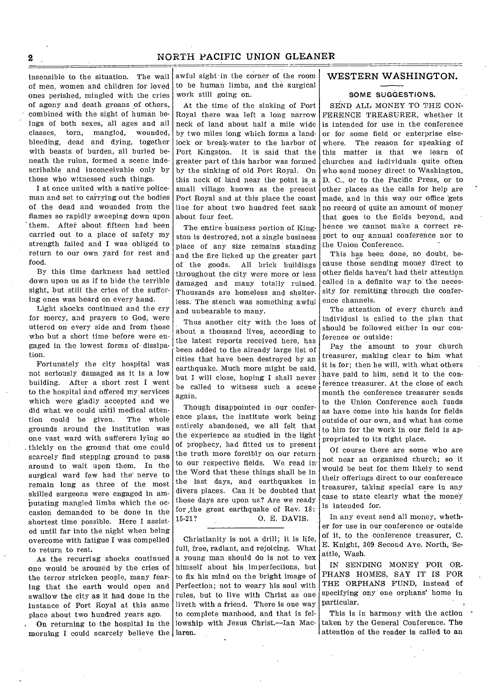insensible to the situation. The wail of men, women and children for loved ones perished, mingled with the cries of agony and death groans of others, combined with the sight of human beings of both sexes, all ages and all classes, torn, mangled, wounded, bleeding, dead and dying, together with beasts of burden, all buried beneath the ruins, formed a scene indescribable and inconceivable only by those who witnessed such things.

I at once united with a native policeman and set to carrying out the bodies of the dead and wounded from the flames so rapidly sweeping down upon them. After about fifteen had been carried out to a place of safety my strength failed and I was obliged to return to our own yard for rest and food.

By this time darkness had settled down upon us as if to hide the terrible sight, but still the cries of the suffering ones was heard on every hand.

Light shocks continued and the cry for mercy, and prayers to God, were uttered on every side and from those who but a short time before were engaged in the lowest forms of• dissipation.

Fortunately the city hospital was not seriously damaged as it is a low building. After a short rest I went to the hospital and offered my services which were gladly accepted and we did what we could until medical attention could be given. The whole grounds around the institution was one vast ward with sufferers lying so thickly on the ground that one could scarcely find stepping ground to pass around to wait upon them. In the surgical ward few had the nerve to remain long as three of the most skilled surgeons were engaged in ambutating mangled limbs which the occasion demanded to be done in the shortest time possible. Here I assisted until far into the night when being overcome with fatigue I was compelled to return to rest.

As the recurring shocks continued one would be aroused by the cries of the terror stricken people, many fearing that the earth would open and swallow the city as it had done in the instance of Port Royal at this same place about two hundred years ago.

On returning to the hospital in the morning I could scarcely believe the laren.

awful sight- in the corner of the room to be human limbs, and the surgical work still going on.

At the time of the sinking of Port Royal there was left a long narrow neck of land about half a mile wide by two miles long which forms a landlock or break-water to the harbor of Port Kingston. It is said that the greater part of this harbor was formed by the sinking of old Port Royal. On this neck of land near the point is a small village known as the present Port Royal and at this place the coast line for about two hundred feet sank about four feet.

The entire business portion of Kingston is destroyed, not a single business place of any size remains standing and the fire licked up the greater part of the goods. All brick buildings throughout the city were more or less damaged and many totally ruined. Thousands are homeless and shelterless. The stench was something awful and unbearable to many.

Thus another city with the loss of about a thousand lives, according to the latest reports received here, has been added to the already large list of cities that have been destroyed by an earthquake. Much more might be said, but I will close, hoping I shall never be called to witness such a scene again.

Though disappointed in our conference plans, the institute work being entirely abandoned, we all felt that the experience as studied in the light of prophecy, had fitted us to present the truth more forcibly on our return to our respective fields. We read in the Word that these things shall be in the last days, and earthquakes in divers places. Can it be doubted that those days are upon us? Are we ready for ,the great earthquake of Rev. 18: 15-21? 0. E. DAVIS.

Christianity is not a drill; it is life, full, free, radiant, and rejoicing. What a young man should do is not to vex himself about his imperfections, but to fix his mind on the bright image of Perfection; not to weary his soul with rules, but to live with Christ as one liveth with a friend. There is one way to complete manhood, and that is fellowship with Jesus Christ.—Ian Mac-

## WESTERN WASHINGTON.

#### SOME SUGGESTIONS.

SEND ALL MONEY TO THE CON-FERENCE TREASURER, whether it is intended for use in the conference or for some field or enterprise elsewhere. The reason for speaking of this matter is that we learn of churches and individuals quite often who send money direct to Washington, D. C., or to the Pacific Press, or to other places as the calls for help are made, and in this way our office gets no record of quite an amount of money that goes to the fields beyond, and hence we cannot make a correct report to our annual conference nor to the Union Conference.

This has been done, no doubt, because those sending money direct to other fields haven't had their attention called in a definite way to' the necessity for remitting through the conference channels.

The attention of every church and individual is called to the plan that should be followed either in our conference or outside:

Pay the amount to your church treasurer, making clear to him what it is for; then he will, with what others have paid to him, send it 'to the conference treasurer. At the close of each month the conference treasurer sends to the Union Conference such funds as have come into his hands for fields outside of our own, and what has come to him for the work in our field is appropriated to its right place.

Of course there are some who are not near an organized church; so it would be best for, them likely to send their offerings direct to our conference treasurer, taking special care in any case to state clearly what the money is intended for.

In any event send all money, whether for use in our conference or outside of it, to the conference treasurer, C. E. Knight, 309 Second Ave. North, Seattle, Wash.

IN SENDING MONEY FOR OR-PHANS HOMES, SAY IT IS FOR THE ORPHANS FUND, instead of specifying ony one orphans' home in particular.

This is in harmony with the action taken by the General Conference. The attention of the reader is called to an

2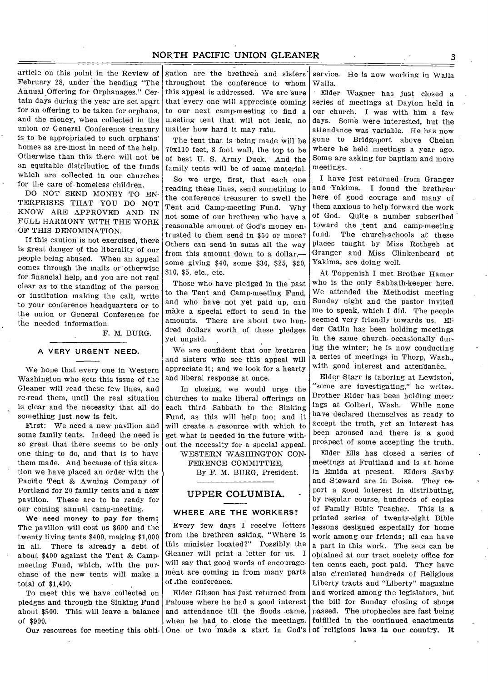# NORTH PACIFIC UNION GLEANER 3

article on this point in the Review of February 28, under the heading "The Annual Offering for Orphanages." Certain days during the year are set apart for an offering to be taken for orphans, and the money, when collected in the union or General Conference treasury is to be appropriated to such orphans' homes as are-most in need of the help. Otherwise than this there will not be an equitable distribution of the funds which are collected in our churches for the care of homeless children.

DO NOT SEND MONEY TO EN-TERPRISES THAT YOU DO NOT KNOW ARE APPROVED AND IN FULL HARMONY WITH THE WORK OF THIS DENOMINATION.

If this caution is not exercised, there is great danger of the liberality of our people being abused. When an appeal comes through the mails or otherwise for financial help, and you are not real clear as to the standing of the person . or institution making the call, write to your conference headquarters or to the union or General Conference for the needed information.

F. M. BURG.

#### **A VERY URGENT NEED.**

We hope that every one in Western Washington who gets this issue of the Gleaner will read these few lines, and re-read them, until the real situation is clear and the necessity that all do something just now is felt.

First: We need a new pavilion and some family tents. Indeed the need is so great that there seems to be only one thing to do, and that is to have them made. And because of this situa. tion we have placed an order with the Pacific Tent & Awning Company of Portland for 20 family tents and a new pavilion. These are to be ready for our coming annual camp-meeting.

We need money to pay for them: The pavilion will cost us \$600 and the twenty living tents \$400, making \$1,000 in all. There is already a debt of about \$400 against the Tent & Campmeeting Fund, which, with the purchase of the new tents will make a total of \$1,400.

To meet this we have collected on pledges and through the Sinking Fund about \$500. This will leave a balance of \$900.

gation are the brethren and sisters throughout the conference to whom this appeal is addressed. We are sure that every one will appreciate coming to our next camp-meeting to find a meeting tent that will not leak, no matter how hard it may rain.

The tent that is being made will' be 70x110 feet, 8 foot wall, the top to be of best U. S. Army Duck. And the family tents will be of same material.

So we urge, first, that each one reading these lines, send something to the conference treasurer to swell the Tent and Camp-meeting Fund. Why not some of our brethren who have a reasonable amount of God's money entrusted to them send in \$50 or more? Others can send in sums all the way from this amount down to a dollar,some giving \$40, some \$30, \$25, \$20, \$10, \$5, etc., etc.

Those who have pledged in the past to the Tent and Camp-meeting Fund, and who have not yet paid up, can make a Special effort to send in the amounts. There are about two hundred dollars worth of these pledges yet unpaid.

We are confident that our brethren and sisters who see this appeal will appreciate it; and we look for a hearty and liberal response at once.

In closing, we would urge the churches to make liberal offerings on each third Sabbath to the Sinking Fund, as this will help too; and it will create a resource with which to get what is needed in the future without the necessity for a special appeal.

WESTERN WASHINGTON CON-FERENCE COMMITTEE,

By F. M. BURG, President.

## UPPER COLUMBIA.

#### **WHERE ARE THE WORKERS?**

Every few days I receive letters from the brethren asking, "Where is this minister located?" Possibly the Gleaner will print a letter for us. I will say that good words of encouragement are coming in from many parts of .the conference.

Our resources for meeting this obli- One or two made a start in God's of religious laws in our country. It Elder Gibson has just returned from Palouse where he had a good interest and attendance till the floods .came, when he had to close the meetings.

service. He is now working in Walla Walla.

- Elder Wagner has just closed a series of meetings at Dayton held in our church. I was with him a few days. Some were interested, but the attendance was variable. He has now gone to Bridgeport above Chelan where he held meetings a year ago. Some are asking for baptism and more meetings.

I have just returned from Granger and Yakima. I found the brethren here of good courage and many of them anxious to help forward the work of God. Quite a number subscribed toward the tent and camp-meeting fund. The church-schools at these places taught by Miss Rothgeb at Granger and Miss Clinkenbeard at Yakima, are doing well.

At Toppenish I met Brother Hamer who is the only Sabbath-keeper here. We attended the Methodist meeting Sunday night and the pastor invited me to speak, which I did. The people seemed very friendly towards us. Elder Catlin has been holding meetings in the same church occasionally during the winter; he is now conducting a series of meetings in Thorp, Wash., with good interest and attendance.

Elder Starr is laboring at Lewiston, "some are investigating," he writes. Brother Rider has been holding meetings at Colbert, Wash. While none have declared themselves as ready to accept the truth, yet an interest has been aroused and there is a good prospect of some accepting the truth.

Elder Ells has closed a series of meetings at Fruitland and is at home in Emida at present. Elders Saxby and Steward are in Boise. They report a good interest in distributing, by regular course, hundreds of copies of Family Bible Teacher. This is a printed series of twenty-eight Bible lessons designed especially for home work among our friends; all can have a part in this work. The sets can be obtained at our tract society office for ten cents each, post paid. They have also circulated hundreds of Religious Liberty tracts and "Liberty" magazine and worked among the legislators, but the bill for Sunday closing of shops passed. The prophecies are fast being fulfilled in the continued enactments